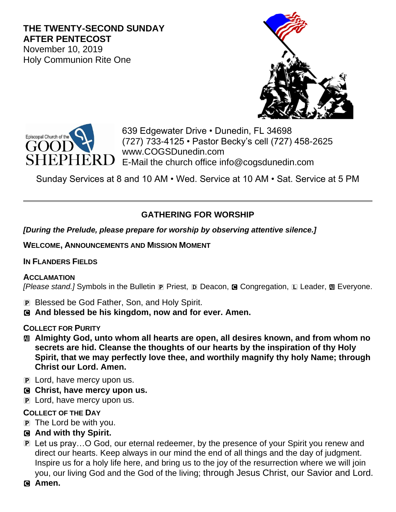# **THE TWENTY-SECOND SUNDAY AFTER PENTECOST**

November 10, 2019 Holy Communion Rite One





639 Edgewater Drive • Dunedin, FL 34698 (727) 733-4125 • Pastor Becky's cell (727) 458-2625 www.COGSDunedin.com E-Mail the church office info@cogsdunedin.com

Sunday Services at 8 and 10 AM • Wed. Service at 10 AM • Sat. Service at 5 PM

# **GATHERING FOR WORSHIP**

#### *[During the Prelude, please prepare for worship by observing attentive silence.]*

#### **WELCOME, ANNOUNCEMENTS AND MISSION MOMENT**

#### **IN FLANDERS FIELDS**

#### **ACCLAMATION**

*[Please stand.]* Symbols in the Bulletin **P** Priest, **D** Deacon, **G** Congregation, L Leader, **M** Everyone.

- P Blessed be God Father, Son, and Holy Spirit.
- C **And blessed be his kingdom, now and for ever. Amen.**

### **COLLECT FOR PURITY**

- a **Almighty God, unto whom all hearts are open, all desires known, and from whom no secrets are hid. Cleanse the thoughts of our hearts by the inspiration of thy Holy Spirit, that we may perfectly love thee, and worthily magnify thy holy Name; through Christ our Lord. Amen.**
- **P** Lord, have mercy upon us.
- C **Christ, have mercy upon us.**
- P Lord, have mercy upon us.

### **COLLECT OF THE DAY**

- $\overline{p}$  The Lord be with you.
- C **And with thy Spirit.**
- P Let us pray…O God, our eternal redeemer, by the presence of your Spirit you renew and direct our hearts. Keep always in our mind the end of all things and the day of judgment. Inspire us for a holy life here, and bring us to the joy of the resurrection where we will join you, our living God and the God of the living; through Jesus Christ, our Savior and Lord.
- C **Amen.**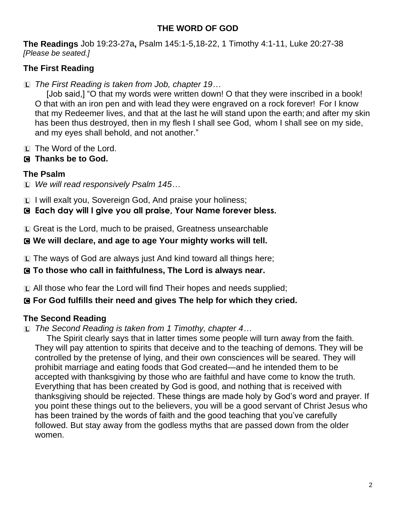### **THE WORD OF GOD**

**The Readings** Job 19:23-27a**,** Psalm 145:1-5,18-22, 1 Timothy 4:1-11, Luke 20:27-38 *[Please be seated.]*

# **The First Reading**

L *The First Reading is taken from Job, chapter 19…*

[Job said,] "O that my words were written down! O that they were inscribed in a book! O that with an iron pen and with lead they were engraved on a rock forever! For I know that my Redeemer lives, and that at the last he will stand upon the earth; and after my skin has been thus destroyed, then in my flesh I shall see God, whom I shall see on my side, and my eyes shall behold, and not another."

- L The Word of the Lord.
- C **Thanks be to God.**

# **The Psalm**

L *We will read responsively Psalm 145…*

L I will exalt you, Sovereign God, And praise your holiness;

- C **Each day will I give you all praise, Your Name forever bless.**
- $\Box$  Great is the Lord, much to be praised, Greatness unsearchable

# C **We will declare, and age to age Your mighty works will tell.**

L The ways of God are always just And kind toward all things here;

### C **To those who call in faithfulness, The Lord is always near.**

L All those who fear the Lord will find Their hopes and needs supplied;

C **For God fulfills their need and gives The help for which they cried.**

# **The Second Reading**

L *The Second Reading is taken from 1 Timothy, chapter 4…*

The Spirit clearly says that in latter times some people will turn away from the faith. They will pay attention to spirits that deceive and to the teaching of demons. They will be controlled by the pretense of lying, and their own consciences will be seared. They will prohibit marriage and eating foods that God created—and he intended them to be accepted with thanksgiving by those who are faithful and have come to know the truth. Everything that has been created by God is good, and nothing that is received with thanksgiving should be rejected. These things are made holy by God's word and prayer. If you point these things out to the believers, you will be a good servant of Christ Jesus who has been trained by the words of faith and the good teaching that you've carefully followed. But stay away from the godless myths that are passed down from the older women.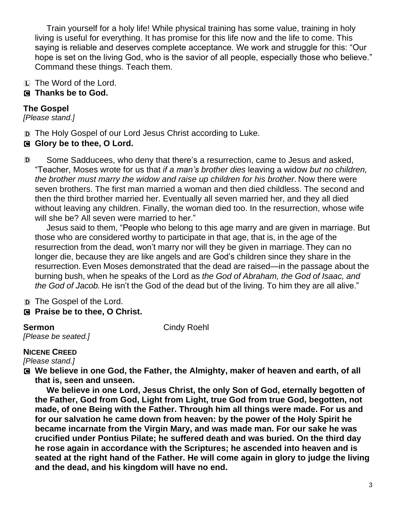Train yourself for a holy life! While physical training has some value, training in holy living is useful for everything. It has promise for this life now and the life to come. This saying is reliable and deserves complete acceptance. We work and struggle for this: "Our hope is set on the living God, who is the savior of all people, especially those who believe." Command these things. Teach them.

- L The Word of the Lord.
- C **Thanks be to God.**

### **The Gospel**

*[Please stand.]*

- D The Holy Gospel of our Lord Jesus Christ according to Luke.
- G Glory be to thee, O Lord.

D Some Sadducees, who deny that there's a resurrection, came to Jesus and asked, "Teacher, Moses wrote for us that *if a man's brother dies* leaving a widow *but no children, the brother must marry the widow and raise up children for his brother*. Now there were seven brothers. The first man married a woman and then died childless. The second and then the third brother married her. Eventually all seven married her, and they all died without leaving any children. Finally, the woman died too. In the resurrection, whose wife will she be? All seven were married to her."

Jesus said to them, "People who belong to this age marry and are given in marriage. But those who are considered worthy to participate in that age, that is, in the age of the resurrection from the dead, won't marry nor will they be given in marriage. They can no longer die, because they are like angels and are God's children since they share in the resurrection. Even Moses demonstrated that the dead are raised—in the passage about the burning bush, when he speaks of the Lord as *the God of Abraham, the God of Isaac, and the God of Jacob.* He isn't the God of the dead but of the living. To him they are all alive."

- D The Gospel of the Lord.
- C **Praise be to thee, O Christ.**

**Sermon** Cindy Roehl

# *[Please be seated.]*

**NICENE CREED**  *[Please stand.]*

C **We believe in one God, the Father, the Almighty, maker of heaven and earth, of all that is, seen and unseen.** 

**We believe in one Lord, Jesus Christ, the only Son of God, eternally begotten of the Father, God from God, Light from Light, true God from true God, begotten, not made, of one Being with the Father. Through him all things were made. For us and for our salvation he came down from heaven: by the power of the Holy Spirit he became incarnate from the Virgin Mary, and was made man. For our sake he was crucified under Pontius Pilate; he suffered death and was buried. On the third day he rose again in accordance with the Scriptures; he ascended into heaven and is seated at the right hand of the Father. He will come again in glory to judge the living and the dead, and his kingdom will have no end.**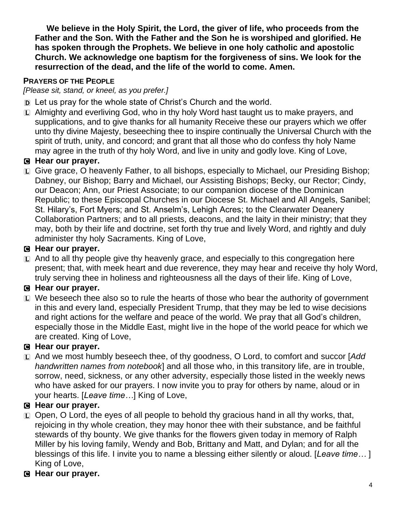**We believe in the Holy Spirit, the Lord, the giver of life, who proceeds from the Father and the Son. With the Father and the Son he is worshiped and glorified. He has spoken through the Prophets. We believe in one holy catholic and apostolic Church. We acknowledge one baptism for the forgiveness of sins. We look for the resurrection of the dead, and the life of the world to come. Amen.**

### **PRAYERS OF THE PEOPLE**

*[Please sit, stand, or kneel, as you prefer.]*

- D Let us pray for the whole state of Christ's Church and the world.
- L Almighty and everliving God, who in thy holy Word hast taught us to make prayers, and supplications, and to give thanks for all humanity Receive these our prayers which we offer unto thy divine Majesty, beseeching thee to inspire continually the Universal Church with the spirit of truth, unity, and concord; and grant that all those who do confess thy holy Name may agree in the truth of thy holy Word, and live in unity and godly love. King of Love,

# C **Hear our prayer.**

L Give grace, O heavenly Father, to all bishops, especially to Michael, our Presiding Bishop; Dabney, our Bishop; Barry and Michael, our Assisting Bishops; Becky, our Rector; Cindy, our Deacon; Ann, our Priest Associate; to our companion diocese of the Dominican Republic; to these Episcopal Churches in our Diocese St. Michael and All Angels, Sanibel; St. Hilary's, Fort Myers; and St. Anselm's, Lehigh Acres; to the Clearwater Deanery Collaboration Partners; and to all priests, deacons, and the laity in their ministry; that they may, both by their life and doctrine, set forth thy true and lively Word, and rightly and duly administer thy holy Sacraments. King of Love,

# C **Hear our prayer.**

 $\Box$  And to all thy people give thy heavenly grace, and especially to this congregation here present; that, with meek heart and due reverence, they may hear and receive thy holy Word, truly serving thee in holiness and righteousness all the days of their life. King of Love,

# C **Hear our prayer.**

L We beseech thee also so to rule the hearts of those who bear the authority of government in this and every land, especially President Trump, that they may be led to wise decisions and right actions for the welfare and peace of the world. We pray that all God's children, especially those in the Middle East, might live in the hope of the world peace for which we are created. King of Love,

# C **Hear our prayer.**

L And we most humbly beseech thee, of thy goodness, O Lord, to comfort and succor [*Add handwritten names from notebook*] and all those who, in this transitory life, are in trouble, sorrow, need, sickness, or any other adversity, especially those listed in the weekly news who have asked for our prayers. I now invite you to pray for others by name, aloud or in your hearts. [*Leave time…*] King of Love,

### C **Hear our prayer.**

 $E$  Open, O Lord, the eyes of all people to behold thy gracious hand in all thy works, that, rejoicing in thy whole creation, they may honor thee with their substance, and be faithful stewards of thy bounty. We give thanks for the flowers given today in memory of Ralph Miller by his loving family, Wendy and Bob, Brittany and Matt, and Dylan; and for all the blessings of this life. I invite you to name a blessing either silently or aloud. [*Leave time…* ] King of Love,

# C **Hear our prayer.**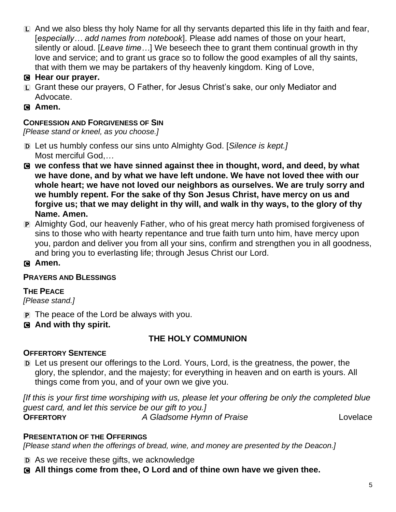- $\Box$  And we also bless thy holy Name for all thy servants departed this life in thy faith and fear, [*especially… add names from notebook*]. Please add names of those on your heart, silently or aloud. [*Leave time…*] We beseech thee to grant them continual growth in thy love and service; and to grant us grace so to follow the good examples of all thy saints, that with them we may be partakers of thy heavenly kingdom. King of Love,
- C **Hear our prayer.**
- L Grant these our prayers, O Father, for Jesus Christ's sake, our only Mediator and Advocate.
- C **Amen.**

### **CONFESSION AND FORGIVENESS OF SIN**

*[Please stand or kneel, as you choose.]*

- D Let us humbly confess our sins unto Almighty God. [*Silence is kept.]*  Most merciful God,*…*
- C **we confess that we have sinned against thee in thought, word, and deed, by what we have done, and by what we have left undone. We have not loved thee with our whole heart; we have not loved our neighbors as ourselves. We are truly sorry and we humbly repent. For the sake of thy Son Jesus Christ, have mercy on us and forgive us; that we may delight in thy will, and walk in thy ways, to the glory of thy Name. Amen.**
- P Almighty God, our heavenly Father, who of his great mercy hath promised forgiveness of sins to those who with hearty repentance and true faith turn unto him, have mercy upon you, pardon and deliver you from all your sins, confirm and strengthen you in all goodness, and bring you to everlasting life; through Jesus Christ our Lord.
- C **Amen.**

#### **PRAYERS AND BLESSINGS**

**THE PEACE** *[Please stand.]*

- $\mathbf{P}$  The peace of the Lord be always with you.
- C **And with thy spirit.**

# **THE HOLY COMMUNION**

### **OFFERTORY SENTENCE**

D Let us present our offerings to the Lord. Yours, Lord, is the greatness, the power, the glory, the splendor, and the majesty; for everything in heaven and on earth is yours. All things come from you, and of your own we give you.

*[If this is your first time worshiping with us, please let your offering be only the completed blue guest card, and let this service be our gift to you.]* **OFFERTORY** *A Gladsome Hymn of Praise* Lovelace

#### **PRESENTATION OF THE OFFERINGS**

*[Please stand when the offerings of bread, wine, and money are presented by the Deacon.]*

- D As we receive these gifts, we acknowledge
- C **All things come from thee, O Lord and of thine own have we given thee.**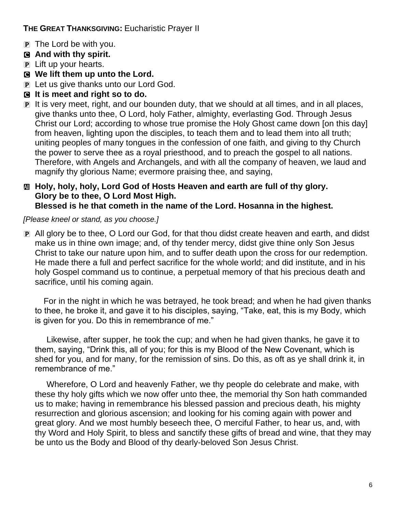### **THE GREAT THANKSGIVING:** Eucharistic Prayer II

- $\overline{P}$  The Lord be with you.
- C **And with thy spirit.**
- P Lift up your hearts.
- C **We lift them up unto the Lord.**
- P Let us give thanks unto our Lord God.
- C **It is meet and right so to do.**
- P It is very meet, right, and our bounden duty, that we should at all times, and in all places, give thanks unto thee, O Lord, holy Father, almighty, everlasting God. Through Jesus Christ our Lord; according to whose true promise the Holy Ghost came down [on this day] from heaven, lighting upon the disciples, to teach them and to lead them into all truth; uniting peoples of many tongues in the confession of one faith, and giving to thy Church the power to serve thee as a royal priesthood, and to preach the gospel to all nations. Therefore, with Angels and Archangels, and with all the company of heaven, we laud and magnify thy glorious Name; evermore praising thee, and saying,

#### a **Holy, holy, holy, Lord God of Hosts Heaven and earth are full of thy glory. Glory be to thee, O Lord Most High. Blessed is he that cometh in the name of the Lord. Hosanna in the highest.**

*[Please kneel or stand, as you choose.]*

P All glory be to thee, O Lord our God, for that thou didst create heaven and earth, and didst make us in thine own image; and, of thy tender mercy, didst give thine only Son Jesus Christ to take our nature upon him, and to suffer death upon the cross for our redemption. He made there a full and perfect sacrifice for the whole world; and did institute, and in his holy Gospel command us to continue, a perpetual memory of that his precious death and sacrifice, until his coming again.

For in the night in which he was betrayed, he took bread; and when he had given thanks to thee, he broke it, and gave it to his disciples, saying, "Take, eat, this is my Body, which is given for you. Do this in remembrance of me."

Likewise, after supper, he took the cup; and when he had given thanks, he gave it to them, saying, "Drink this, all of you; for this is my Blood of the New Covenant, which is shed for you, and for many, for the remission of sins. Do this, as oft as ye shall drink it, in remembrance of me."

Wherefore, O Lord and heavenly Father, we thy people do celebrate and make, with these thy holy gifts which we now offer unto thee, the memorial thy Son hath commanded us to make; having in remembrance his blessed passion and precious death, his mighty resurrection and glorious ascension; and looking for his coming again with power and great glory. And we most humbly beseech thee, O merciful Father, to hear us, and, with thy Word and Holy Spirit, to bless and sanctify these gifts of bread and wine, that they may be unto us the Body and Blood of thy dearly-beloved Son Jesus Christ.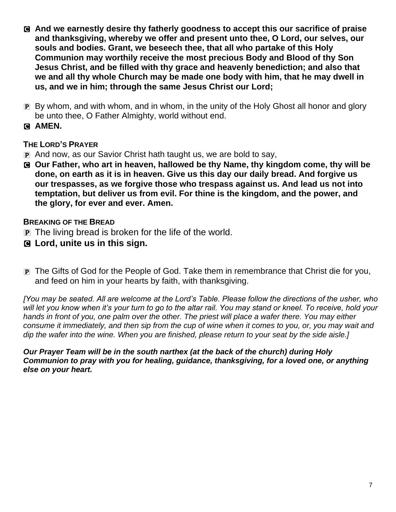- C **And we earnestly desire thy fatherly goodness to accept this our sacrifice of praise and thanksgiving, whereby we offer and present unto thee, O Lord, our selves, our souls and bodies. Grant, we beseech thee, that all who partake of this Holy Communion may worthily receive the most precious Body and Blood of thy Son Jesus Christ, and be filled with thy grace and heavenly benediction; and also that we and all thy whole Church may be made one body with him, that he may dwell in us, and we in him; through the same Jesus Christ our Lord;**
- P By whom, and with whom, and in whom, in the unity of the Holy Ghost all honor and glory be unto thee, O Father Almighty, world without end.
- C **AMEN.**

### **THE LORD'S PRAYER**

- P And now, as our Savior Christ hath taught us, we are bold to say,
- C **Our Father, who art in heaven, hallowed be thy Name, thy kingdom come, thy will be done, on earth as it is in heaven. Give us this day our daily bread. And forgive us our trespasses, as we forgive those who trespass against us. And lead us not into temptation, but deliver us from evil. For thine is the kingdom, and the power, and the glory, for ever and ever. Amen.**

#### **BREAKING OF THE BREAD**

- P The living bread is broken for the life of the world.
- C **Lord, unite us in this sign.**
- P The Gifts of God for the People of God. Take them in remembrance that Christ die for you, and feed on him in your hearts by faith, with thanksgiving.

*[You may be seated. All are welcome at the Lord's Table. Please follow the directions of the usher, who*  will let you know when it's your turn to go to the altar rail. You may stand or kneel. To receive, hold your hands in front of you, one palm over the other. The priest will place a wafer there. You may either *consume it immediately, and then sip from the cup of wine when it comes to you, or, you may wait and dip the wafer into the wine. When you are finished, please return to your seat by the side aisle.]*

*Our Prayer Team will be in the south narthex (at the back of the church) during Holy Communion to pray with you for healing, guidance, thanksgiving, for a loved one, or anything else on your heart.*